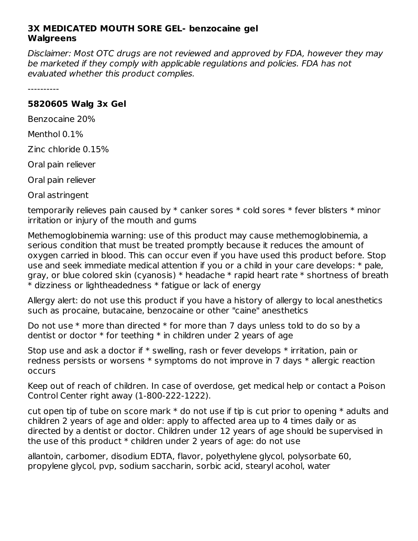## **3X MEDICATED MOUTH SORE GEL- benzocaine gel Walgreens**

Disclaimer: Most OTC drugs are not reviewed and approved by FDA, however they may be marketed if they comply with applicable regulations and policies. FDA has not evaluated whether this product complies.

----------

## **5820605 Walg 3x Gel**

Benzocaine 20%

Menthol 0.1%

Zinc chloride 0.15%

Oral pain reliever

Oral pain reliever

Oral astringent

temporarily relieves pain caused by \* canker sores \* cold sores \* fever blisters \* minor irritation or injury of the mouth and gums

Methemoglobinemia warning: use of this product may cause methemoglobinemia, a serious condition that must be treated promptly because it reduces the amount of oxygen carried in blood. This can occur even if you have used this product before. Stop use and seek immediate medical attention if you or a child in your care develops: \* pale, gray, or blue colored skin (cyanosis) \* headache \* rapid heart rate \* shortness of breath \* dizziness or lightheadedness \* fatigue or lack of energy

Allergy alert: do not use this product if you have a history of allergy to local anesthetics such as procaine, butacaine, benzocaine or other "caine" anesthetics

Do not use  $*$  more than directed  $*$  for more than 7 days unless told to do so by a dentist or doctor  $*$  for teething  $*$  in children under 2 years of age

Stop use and ask a doctor if \* swelling, rash or fever develops \* irritation, pain or redness persists or worsens \* symptoms do not improve in 7 days \* allergic reaction occurs

Keep out of reach of children. In case of overdose, get medical help or contact a Poison Control Center right away (1-800-222-1222).

cut open tip of tube on score mark  $*$  do not use if tip is cut prior to opening  $*$  adults and children 2 years of age and older: apply to affected area up to 4 times daily or as directed by a dentist or doctor. Children under 12 years of age should be supervised in the use of this product  $*$  children under 2 years of age: do not use

allantoin, carbomer, disodium EDTA, flavor, polyethylene glycol, polysorbate 60, propylene glycol, pvp, sodium saccharin, sorbic acid, stearyl acohol, water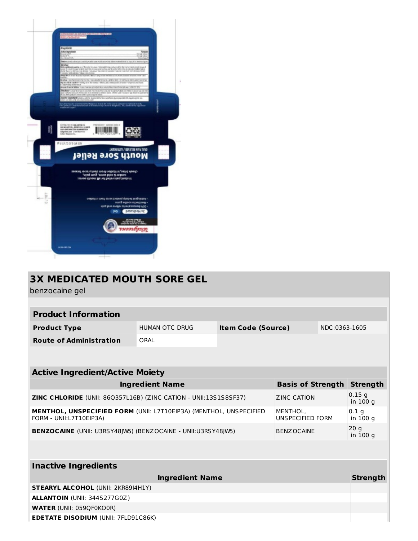

| <b>3X MEDICATED MOUTH SORE GEL</b>                                                                                                          |                          |                           |                 |               |                              |  |  |  |  |  |
|---------------------------------------------------------------------------------------------------------------------------------------------|--------------------------|---------------------------|-----------------|---------------|------------------------------|--|--|--|--|--|
| benzocaine gel                                                                                                                              |                          |                           |                 |               |                              |  |  |  |  |  |
|                                                                                                                                             |                          |                           |                 |               |                              |  |  |  |  |  |
| <b>Product Information</b>                                                                                                                  |                          |                           |                 |               |                              |  |  |  |  |  |
| <b>Product Type</b>                                                                                                                         | <b>HUMAN OTC DRUG</b>    | <b>Item Code (Source)</b> |                 | NDC:0363-1605 |                              |  |  |  |  |  |
| <b>Route of Administration</b>                                                                                                              | ORAL                     |                           |                 |               |                              |  |  |  |  |  |
|                                                                                                                                             |                          |                           |                 |               |                              |  |  |  |  |  |
| <b>Active Ingredient/Active Moiety</b>                                                                                                      |                          |                           |                 |               |                              |  |  |  |  |  |
| <b>Ingredient Name</b>                                                                                                                      | <b>Basis of Strength</b> |                           | <b>Strength</b> |               |                              |  |  |  |  |  |
| ZINC CHLORIDE (UNII: 86Q357L16B) (ZINC CATION - UNII:13S1S8SF37)<br><b>ZINC CATION</b>                                                      |                          |                           |                 |               | 0.15q<br>in 100 g            |  |  |  |  |  |
| <b>MENTHOL, UNSPECIFIED FORM (UNII: L7T10EIP3A) (MENTHOL, UNSPECIFIED</b><br>MENTHOL.<br><b>UNSPECIFIED FORM</b><br>FORM - UNII:L7T10EIP3A) |                          |                           |                 |               | 0.1 <sub>q</sub><br>in 100 g |  |  |  |  |  |
| BENZOCAINE (UNII: U3RSY48JW5) (BENZOCAINE - UNII:U3RSY48JW5)<br><b>BENZOCAINE</b>                                                           |                          |                           |                 |               | 20q<br>in 100 g              |  |  |  |  |  |
|                                                                                                                                             |                          |                           |                 |               |                              |  |  |  |  |  |
| <b>Inactive Ingredients</b>                                                                                                                 |                          |                           |                 |               |                              |  |  |  |  |  |
| <b>Ingredient Name</b><br><b>Strength</b>                                                                                                   |                          |                           |                 |               |                              |  |  |  |  |  |
| <b>STEARYL ALCOHOL (UNII: 2KR89I4H1Y)</b>                                                                                                   |                          |                           |                 |               |                              |  |  |  |  |  |
| <b>ALLANTOIN (UNII: 344S277G0Z)</b>                                                                                                         |                          |                           |                 |               |                              |  |  |  |  |  |
| <b>WATER (UNII: 059QF0KO0R)</b>                                                                                                             |                          |                           |                 |               |                              |  |  |  |  |  |
| <b>EDETATE DISODIUM (UNII: 7FLD91C86K)</b>                                                                                                  |                          |                           |                 |               |                              |  |  |  |  |  |